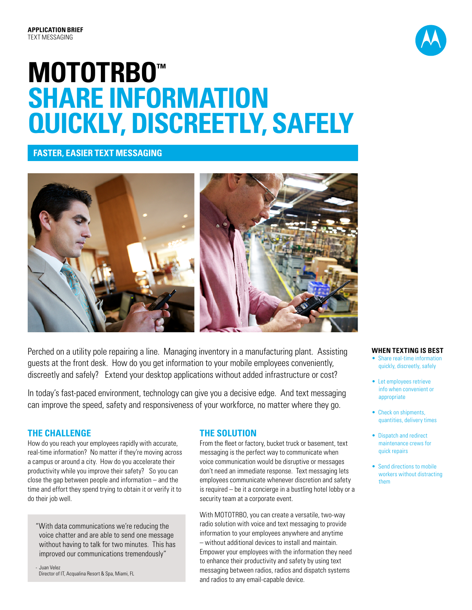

# **MOTOTRBO™<br>SHARE INFORMATION QUICKLY, DISCREETLY, SAFELY**

# **FASTER, EASIER TEXT MESSAGING**



Perched on a utility pole repairing a line. Managing inventory in a manufacturing plant. Assisting guests at the front desk. How do you get information to your mobile employees conveniently, discreetly and safely? Extend your desktop applications without added infrastructure or cost?

In today's fast-paced environment, technology can give you a decisive edge. And text messaging can improve the speed, safety and responsiveness of your workforce, no matter where they go.

## **THE CHALLENGE**

How do you reach your employees rapidly with accurate, real-time information? No matter if they're moving across a campus or around a city. How do you accelerate their productivity while you improve their safety? So you can close the gap between people and information – and the time and effort they spend trying to obtain it or verify it to do their job well.

"With data communications we're reducing the voice chatter and are able to send one message without having to talk for two minutes. This has improved our communications tremendously"

- Juan Velez Director of IT, Acqualina Resort & Spa, Miami, FL

## **THE SOLUTION**

From the fleet or factory, bucket truck or basement, text messaging is the perfect way to communicate when voice communication would be disruptive or messages don't need an immediate response. Text messaging lets employees communicate whenever discretion and safety is required – be it a concierge in a bustling hotel lobby or a security team at a corporate event.

With MOTOTRBO, you can create a versatile, two-way radio solution with voice and text messaging to provide information to your employees anywhere and anytime – without additional devices to install and maintain. Empower your employees with the information they need to enhance their productivity and safety by using text messaging between radios, radios and dispatch systems and radios to any email-capable device.

#### **WHEN TEXTING IS BEST**

- Share real-time information quickly, discreetly, safely
- Let employees retrieve info when convenient or appropriate
- Check on shipments, quantities, delivery times
- Dispatch and redirect maintenance crews for quick repairs
- Send directions to mobile workers without distracting them